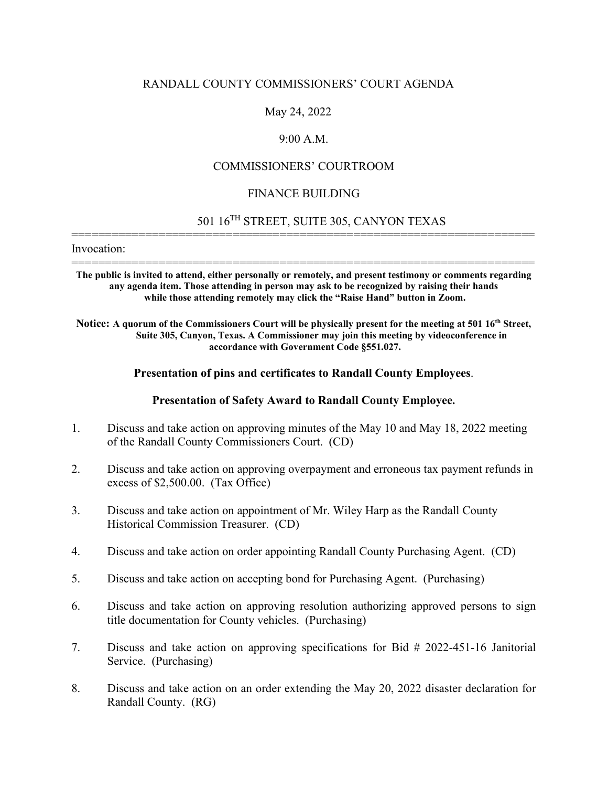## RANDALL COUNTY COMMISSIONERS' COURT AGENDA

## May 24, 2022

## 9:00 A.M.

## COMMISSIONERS' COURTROOM

#### FINANCE BUILDING

=====================================================================

# 501 16TH STREET, SUITE 305, CANYON TEXAS

Invocation:

===================================================================== **The public is invited to attend, either personally or remotely, and present testimony or comments regarding any agenda item. Those attending in person may ask to be recognized by raising their hands while those attending remotely may click the "Raise Hand" button in Zoom.**

Notice: A quorum of the Commissioners Court will be physically present for the meeting at 501 16<sup>th</sup> Street, **Suite 305, Canyon, Texas. A Commissioner may join this meeting by videoconference in accordance with Government Code §551.027.**

#### **Presentation of pins and certificates to Randall County Employees**.

### **Presentation of Safety Award to Randall County Employee.**

- 1. Discuss and take action on approving minutes of the May 10 and May 18, 2022 meeting of the Randall County Commissioners Court. (CD)
- 2. Discuss and take action on approving overpayment and erroneous tax payment refunds in excess of \$2,500.00. (Tax Office)
- 3. Discuss and take action on appointment of Mr. Wiley Harp as the Randall County Historical Commission Treasurer. (CD)
- 4. Discuss and take action on order appointing Randall County Purchasing Agent. (CD)
- 5. Discuss and take action on accepting bond for Purchasing Agent. (Purchasing)
- 6. Discuss and take action on approving resolution authorizing approved persons to sign title documentation for County vehicles. (Purchasing)
- 7. Discuss and take action on approving specifications for Bid # 2022-451-16 Janitorial Service. (Purchasing)
- 8. Discuss and take action on an order extending the May 20, 2022 disaster declaration for Randall County. (RG)